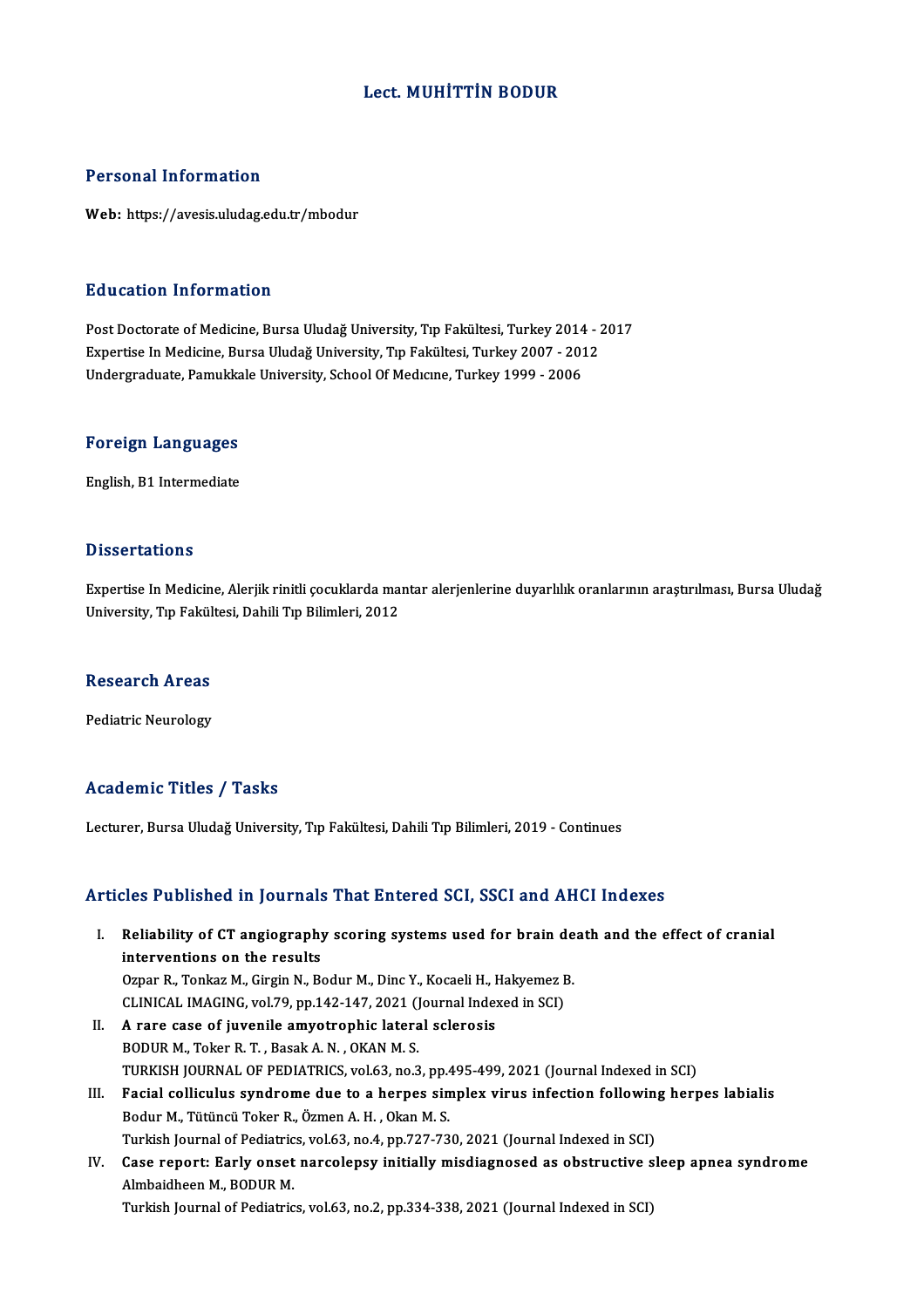# Lect.MUHİTTİN BODUR

## Personal Information

Web: https://avesis.uludag.edu.tr/mbodur

## Education Information

Education Information<br>Post Doctorate of Medicine, Bursa Uludağ University, Tıp Fakültesi, Turkey 2014 - 2017<br>Expertise In Medicine, Bursa Uludağ University, Tıp Fakültesi, Turkey 2007 - 2012 Eu ususeen Timor indeisen<br>Post Doctorate of Medicine, Bursa Uludağ University, Tıp Fakültesi, Turkey 2014 - 2<br>Expertise In Medicine, Bursa Uludağ University, Tıp Fakültesi, Turkey 2007 - 2012<br>Undergraduate Bamukkale Univer Post Doctorate of Medicine, Bursa Uludağ University, Tıp Fakültesi, Turkey 2014<br>Expertise In Medicine, Bursa Uludağ University, Tıp Fakültesi, Turkey 2007 - 201<br>Undergraduate, Pamukkale University, School Of Medicine, Turk

# <sub>ondergraduate, Pamukka</sub><br>Foreign Languages F<mark>oreign Languages</mark><br>English, B1 Intermediate

English, B1 Intermediate<br>Dissertations

Expertise In Medicine, Alerjik rinitli çocuklarda mantar alerjenlerine duyarlılık oranlarının araştırılması, Bursa Uludağ University, Tıp Fakültesi, Dahili Tıp Bilimleri, 2012

## Research Areas

Pediatric Neurology

# Academic Titles / Tasks

Lecturer, Bursa Uludağ University, Tıp Fakültesi, Dahili Tıp Bilimleri, 2019 - Continues

## Articles Published in Journals That Entered SCI, SSCI and AHCI Indexes

- rticles Published in Journals That Entered SCI, SSCI and AHCI Indexes<br>I. Reliability of CT angiography scoring systems used for brain death and the effect of cranial<br>interventions on the results Reliability of CT angiography<br>interventions on the results<br>Ornar B. Tonkar M. Circin N. B. Reliability of CT angiography scoring systems used for brain de<br>interventions on the results<br>Ozpar R., Tonkaz M., Girgin N., Bodur M., Dinc Y., Kocaeli H., Hakyemez B.<br>CUNICAL IMACING wel 79 np 142 147 2021 (Journal Indexe interventions on the results<br>Ozpar R., Tonkaz M., Girgin N., Bodur M., Dinc Y., Kocaeli H., Hakyemez B.<br>CLINICAL IMAGING, vol.79, pp.142-147, 2021 (Journal Indexed in SCI) II. A rare case of juvenile amyotrophic lateral sclerosis BODURM.,TokerR.T. ,BasakA.N. ,OKANM.S. A rare case of juvenile amyotrophic lateral sclerosis<br>BODUR M., Toker R. T. , Basak A. N. , OKAN M. S.<br>TURKISH JOURNAL OF PEDIATRICS, vol.63, no.3, pp.495-499, 2021 (Journal Indexed in SCI)<br>Fosial sollisulus sundrame due t
	-
- BODUR M., Toker R. T. , Basak A. N. , OKAN M. S.<br>TURKISH JOURNAL OF PEDIATRICS, vol.63, no.3, pp.495-499, 2021 (Journal Indexed in SCI)<br>III. Facial colliculus syndrome due to a herpes simplex virus infection following herp TURKISH JOURNAL OF PEDIATRICS, vol.63, no.3, pp.4<br>Facial colliculus syndrome due to a herpes sin<br>Bodur M., Tütüncü Toker R., Özmen A. H. , Okan M. S.<br>Turkish Journal of Bodistrics vol.63, no.4, np.727,72 Facial colliculus syndrome due to a herpes simplex virus infection followin<br>Bodur M., Tütüncü Toker R., Özmen A. H. , Okan M. S.<br>Turkish Journal of Pediatrics, vol.63, no.4, pp.727-730, 2021 (Journal Indexed in SCI)<br>Case r Bodur M., Tütüncü Toker R., Özmen A. H. , Okan M. S.<br>Turkish Journal of Pediatrics, vol.63, no.4, pp.727-730, 2021 (Journal Indexed in SCI)<br>IV. Case report: Early onset narcolepsy initially misdiagnosed as obstructive
- Turkish Journal of Pediatric<br>Case report: Early onset<br>Almbaidheen M., BODUR M.<br>Turkish Journal of Pediatric Case report: Early onset narcolepsy initially misdiagnosed as obstructive s<br>Almbaidheen M., BODUR M.<br>Turkish Journal of Pediatrics, vol.63, no.2, pp.334-338, 2021 (Journal Indexed in SCI)